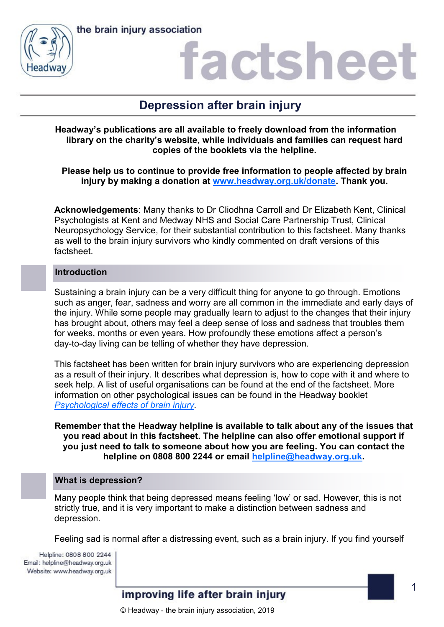



### factsheet

### **Depression after brain injury**

**Headway's publications are all available to freely download from the information library on the charity's website, while individuals and families can request hard copies of the booklets via the helpline.**

**Please help us to continue to provide free information to people affected by brain injury by making a donation at [www.headway.org.uk/donate.](http://www.headway.org.uk/donate) Thank you.**

**Acknowledgements**: Many thanks to Dr Cliodhna Carroll and Dr Elizabeth Kent, Clinical Psychologists at Kent and Medway NHS and Social Care Partnership Trust, Clinical Neuropsychology Service, for their substantial contribution to this factsheet. Many thanks as well to the brain injury survivors who kindly commented on draft versions of this factsheet.

### **Introduction**

Sustaining a brain injury can be a very difficult thing for anyone to go through. Emotions such as anger, fear, sadness and worry are all common in the immediate and early days of the injury. While some people may gradually learn to adjust to the changes that their injury has brought about, others may feel a deep sense of loss and sadness that troubles them for weeks, months or even years. How profoundly these emotions affect a person's day-to-day living can be telling of whether they have depression.

This factsheet has been written for brain injury survivors who are experiencing depression as a result of their injury. It describes what depression is, how to cope with it and where to seek help. A list of useful organisations can be found at the end of the factsheet. More information on other psychological issues can be found in the Headway booklet *[Psychological effects of brain injury.](https://www.headway.org.uk/media/3999/psychological-effects-of-brain-injury-e-booklet.pdf)* 

### **Remember that the Headway helpline is available to talk about any of the issues that you read about in this factsheet. The helpline can also offer emotional support if you just need to talk to someone about how you are feeling. You can contact the helpline on 0808 800 2244 or email [helpline@headway.org.uk.](mailto:helpline@headway.org.uk)**

### **What is depression?**

Many people think that being depressed means feeling 'low' or sad. However, this is not strictly true, and it is very important to make a distinction between sadness and depression.

Feeling sad is normal after a distressing event, such as a brain injury. If you find yourself

Helpline: 0808 800 2244 Email: helpline@headway.org.uk Website: www.headway.org.uk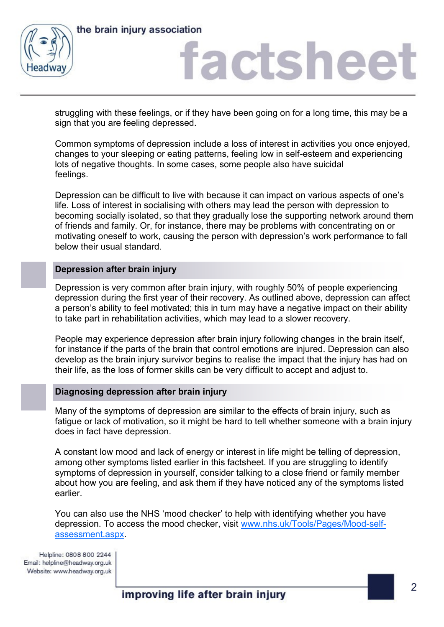

## factshee

struggling with these feelings, or if they have been going on for a long time, this may be a sign that you are feeling depressed.

Common symptoms of depression include a loss of interest in activities you once enjoyed, changes to your sleeping or eating patterns, feeling low in self-esteem and experiencing lots of negative thoughts. In some cases, some people also have suicidal feelings.

Depression can be difficult to live with because it can impact on various aspects of one's life. Loss of interest in socialising with others may lead the person with depression to becoming socially isolated, so that they gradually lose the supporting network around them of friends and family. Or, for instance, there may be problems with concentrating on or motivating oneself to work, causing the person with depression's work performance to fall below their usual standard.

### **Depression after brain injury**

Depression is very common after brain injury, with roughly 50% of people experiencing depression during the first year of their recovery. As outlined above, depression can affect a person's ability to feel motivated; this in turn may have a negative impact on their ability to take part in rehabilitation activities, which may lead to a slower recovery.

People may experience depression after brain injury following changes in the brain itself, for instance if the parts of the brain that control emotions are injured. Depression can also develop as the brain injury survivor begins to realise the impact that the injury has had on their life, as the loss of former skills can be very difficult to accept and adjust to.

### **Diagnosing depression after brain injury**

Many of the symptoms of depression are similar to the effects of brain injury, such as fatigue or lack of motivation, so it might be hard to tell whether someone with a brain injury does in fact have depression.

A constant low mood and lack of energy or interest in life might be telling of depression, among other symptoms listed earlier in this factsheet. If you are struggling to identify symptoms of depression in yourself, consider talking to a close friend or family member about how you are feeling, and ask them if they have noticed any of the symptoms listed earlier.

You can also use the NHS 'mood checker' to help with identifying whether you have depression. To access the mood checker, visit [www.nhs.uk/Tools/Pages/Mood-self](http://www.nhs.uk/Tools/Pages/Mood-self-assessment.aspx)[assessment.aspx.](http://www.nhs.uk/Tools/Pages/Mood-self-assessment.aspx)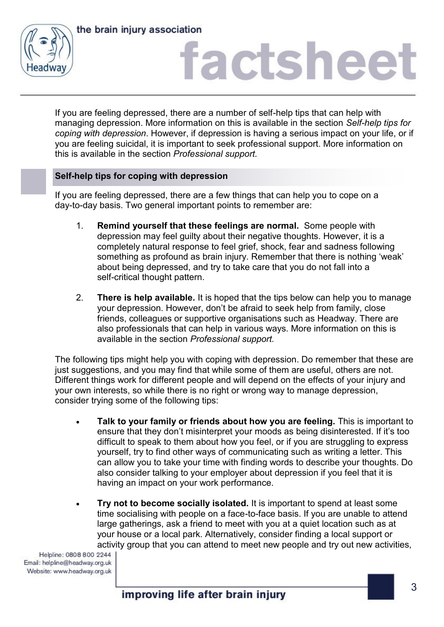

## factsheet

If you are feeling depressed, there are a number of self-help tips that can help with managing depression. More information on this is available in the section *Self-help tips for coping with depression*. However, if depression is having a serious impact on your life, or if you are feeling suicidal, it is important to seek professional support. More information on this is available in the section *Professional support.* 

### **Self-help tips for coping with depression**

If you are feeling depressed, there are a few things that can help you to cope on a day-to-day basis. Two general important points to remember are:

- 1. **Remind yourself that these feelings are normal.** Some people with depression may feel guilty about their negative thoughts. However, it is a completely natural response to feel grief, shock, fear and sadness following something as profound as brain injury. Remember that there is nothing 'weak' about being depressed, and try to take care that you do not fall into a self-critical thought pattern.
- 2. **There is help available.** It is hoped that the tips below can help you to manage your depression. However, don't be afraid to seek help from family, close friends, colleagues or supportive organisations such as Headway. There are also professionals that can help in various ways. More information on this is available in the section *Professional support.*

The following tips might help you with coping with depression. Do remember that these are just suggestions, and you may find that while some of them are useful, others are not. Different things work for different people and will depend on the effects of your injury and your own interests, so while there is no right or wrong way to manage depression, consider trying some of the following tips:

- **Talk to your family or friends about how you are feeling.** This is important to ensure that they don't misinterpret your moods as being disinterested. If it's too difficult to speak to them about how you feel, or if you are struggling to express yourself, try to find other ways of communicating such as writing a letter. This can allow you to take your time with finding words to describe your thoughts. Do also consider talking to your employer about depression if you feel that it is having an impact on your work performance.
- **Try not to become socially isolated.** It is important to spend at least some time socialising with people on a face-to-face basis. If you are unable to attend large gatherings, ask a friend to meet with you at a quiet location such as at your house or a local park. Alternatively, consider finding a local support or activity group that you can attend to meet new people and try out new activities,

Helpline: 0808 800 2244 Email: helpline@headway.org.uk Website: www.headway.org.uk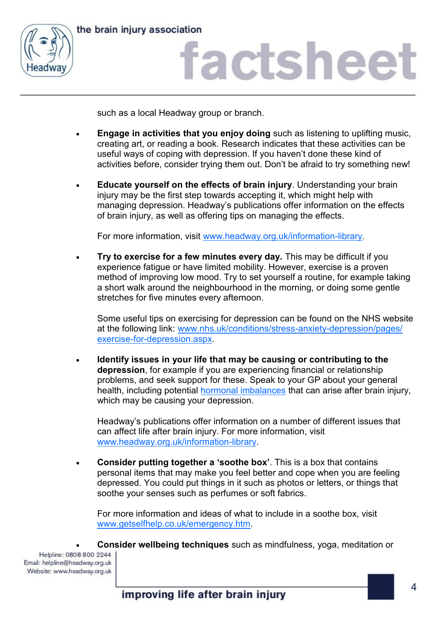



## factsheet

such as a local Headway group or branch.

- **Engage in activities that you enjoy doing** such as listening to uplifting music, creating art, or reading a book. Research indicates that these activities can be useful ways of coping with depression. If you haven't done these kind of activities before, consider trying them out. Don't be afraid to try something new!
- **Educate yourself on the effects of brain injury**. Understanding your brain injury may be the first step towards accepting it, which might help with managing depression. Headway's publications offer information on the effects of brain injury, as well as offering tips on managing the effects.

For more information, visit [www.headway.org.uk/information-library.](http://www.headway.org.uk/information-library)

**Try to exercise for a few minutes every day.** This may be difficult if you experience fatigue or have limited mobility. However, exercise is a proven method of improving low mood. Try to set yourself a routine, for example taking a short walk around the neighbourhood in the morning, or doing some gentle stretches for five minutes every afternoon.

Some useful tips on exercising for depression can be found on the NHS website at the following link: [www.nhs.uk/conditions/stress-anxiety-depression/pages/](http://www.nhs.uk/conditions/stress-anxiety-depression/pages/exercise-for-depression.aspx) [exercise-for-depression.aspx.](http://www.nhs.uk/conditions/stress-anxiety-depression/pages/exercise-for-depression.aspx)

 **Identify issues in your life that may be causing or contributing to the depression**, for example if you are experiencing financial or relationship problems, and seek support for these. Speak to your GP about your general health, including potential [hormonal imbalances](https://www.headway.org.uk/media/2803/hormonal-imbalances-after-brain-injury-with-rcgp-endorsement.pdf) that can arise after brain injury, which may be causing your depression.

Headway's publications offer information on a number of different issues that can affect life after brain injury. For more information, visit [www.headway.org.uk/information-library.](http://www.headway.org.uk/information-library)

 **Consider putting together a 'soothe box'**. This is a box that contains personal items that may make you feel better and cope when you are feeling depressed. You could put things in it such as photos or letters, or things that soothe your senses such as perfumes or soft fabrics.

For more information and ideas of what to include in a soothe box, visit [www.getselfhelp.co.uk/emergency.htm.](https://www.getselfhelp.co.uk/emergency.htm)

**Consider wellbeing techniques** such as mindfulness, yoga, meditation or

Helpline: 0808 800 2244 Email: helpline@headway.org.uk Website: www.headway.org.uk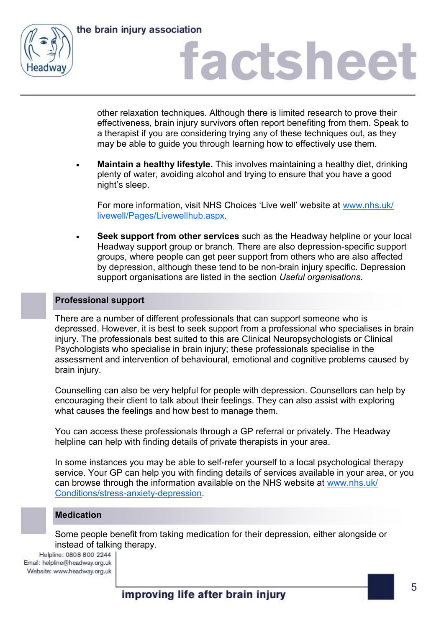

## factsheet

other relaxation techniques. Although there is limited research to prove their effectiveness, brain injury survivors often report benefiting from them. Speak to a therapist if you are considering trying any of these techniques out, as they may be able to guide you through learning how to effectively use them.

 **Maintain a healthy lifestyle.** This involves maintaining a healthy diet, drinking plenty of water, avoiding alcohol and trying to ensure that you have a good night's sleep.

For more information, visit NHS Choices 'Live well' website at [www.nhs.uk/](http://www.nhs.uk/livewell/Pages/Livewellhub.aspx) [livewell/Pages/Livewellhub.aspx.](http://www.nhs.uk/livewell/Pages/Livewellhub.aspx)

 **Seek support from other services** such as the Headway helpline or your local Headway support group or branch. There are also depression-specific support groups, where people can get peer support from others who are also affected by depression, although these tend to be non-brain injury specific. Depression support organisations are listed in the section *Useful organisations*.

### **Professional support**

There are a number of different professionals that can support someone who is depressed. However, it is best to seek support from a professional who specialises in brain injury. The professionals best suited to this are Clinical Neuropsychologists or Clinical Psychologists who specialise in brain injury; these professionals specialise in the assessment and intervention of behavioural, emotional and cognitive problems caused by brain injury.

Counselling can also be very helpful for people with depression. Counsellors can help by encouraging their client to talk about their feelings. They can also assist with exploring what causes the feelings and how best to manage them.

You can access these professionals through a GP referral or privately. The Headway helpline can help with finding details of private therapists in your area.

In some instances you may be able to self-refer yourself to a local psychological therapy service. Your GP can help you with finding details of services available in your area, or you can browse through the information available on the NHS website at [www.nhs.uk/](http://www.nhs.uk/Conditions/stress-anxiety-depression/Pages/low-mood-stress-anxiety.aspx) [Conditions/stress-anxiety-depression.](http://www.nhs.uk/Conditions/stress-anxiety-depression/Pages/low-mood-stress-anxiety.aspx)

#### **Medication**

Some people benefit from taking medication for their depression, either alongside or instead of talking therapy.

Helpline: 0808 800 2244 Email: helpline@headway.org.uk Website: www.headway.org.uk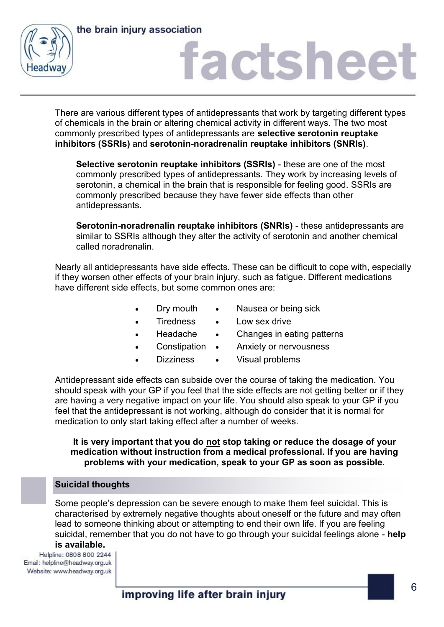



## factsheet

There are various different types of antidepressants that work by targeting different types of chemicals in the brain or altering chemical activity in different ways. The two most commonly prescribed types of antidepressants are **selective serotonin reuptake inhibitors (SSRIs)** and **serotonin-noradrenalin reuptake inhibitors (SNRIs)**.

**Selective serotonin reuptake inhibitors (SSRIs)** - these are one of the most commonly prescribed types of antidepressants. They work by increasing levels of serotonin, a chemical in the brain that is responsible for feeling good. SSRIs are commonly prescribed because they have fewer side effects than other antidepressants.

**Serotonin-noradrenalin reuptake inhibitors (SNRIs)** - these antidepressants are similar to SSRIs although they alter the activity of serotonin and another chemical called noradrenalin.

Nearly all antidepressants have side effects. These can be difficult to cope with, especially if they worsen other effects of your brain injury, such as fatigue. Different medications have different side effects, but some common ones are:

- Dry mouth  $\bullet$  Nausea or being sick
- Tiredness Low sex drive
	-
	- Headache Changes in eating patterns
- Constipation Anxiety or nervousness
	- Dizziness Visual problems

Antidepressant side effects can subside over the course of taking the medication. You should speak with your GP if you feel that the side effects are not getting better or if they are having a very negative impact on your life. You should also speak to your GP if you feel that the antidepressant is not working, although do consider that it is normal for medication to only start taking effect after a number of weeks.

**It is very important that you do not stop taking or reduce the dosage of your medication without instruction from a medical professional. If you are having problems with your medication, speak to your GP as soon as possible.** 

### **Suicidal thoughts**

Some people's depression can be severe enough to make them feel suicidal. This is characterised by extremely negative thoughts about oneself or the future and may often lead to someone thinking about or attempting to end their own life. If you are feeling suicidal, remember that you do not have to go through your suicidal feelings alone - **help is available.**

### Helpline: 0808 800 2244

Email: helpline@headway.org.uk Website: www.headway.org.uk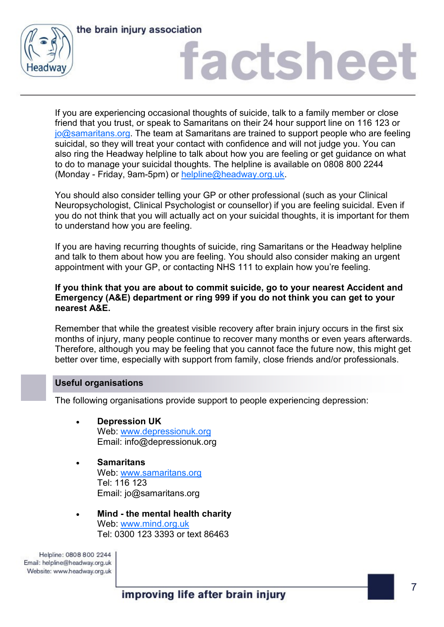



## factshee

If you are experiencing occasional thoughts of suicide, talk to a family member or close friend that you trust, or speak to Samaritans on their 24 hour support line on 116 123 or  $j$ o $@$ samaritans.org. The team at Samaritans are trained to support people who are feeling suicidal, so they will treat your contact with confidence and will not judge you. You can also ring the Headway helpline to talk about how you are feeling or get guidance on what to do to manage your suicidal thoughts. The helpline is available on 0808 800 2244 (Monday - Friday, 9am-5pm) or [helpline@headway.org.uk.](mailto:helpline@headway.org.uk) 

You should also consider telling your GP or other professional (such as your Clinical Neuropsychologist, Clinical Psychologist or counsellor) if you are feeling suicidal. Even if you do not think that you will actually act on your suicidal thoughts, it is important for them to understand how you are feeling.

If you are having recurring thoughts of suicide, ring Samaritans or the Headway helpline and talk to them about how you are feeling. You should also consider making an urgent appointment with your GP, or contacting NHS 111 to explain how you're feeling.

### **If you think that you are about to commit suicide, go to your nearest Accident and Emergency (A&E) department or ring 999 if you do not think you can get to your nearest A&E.**

Remember that while the greatest visible recovery after brain injury occurs in the first six months of injury, many people continue to recover many months or even years afterwards. Therefore, although you may be feeling that you cannot face the future now, this might get better over time, especially with support from family, close friends and/or professionals.

### **Useful organisations**

The following organisations provide support to people experiencing depression:

- **Depression UK**  Web: [www.depressionuk.org](http://www.depressionuk.org) Email: info@depressionuk.org
- **Samaritans**  Web: [www.samaritans.org](http://www.samaritans.org/) Tel: 116 123 Email: jo@samaritans.org
- **Mind - the mental health charity**  Web: [www.mind.org.uk](http://www.mind.org.uk/) Tel: 0300 123 3393 or text 86463

Helpline: 0808 800 2244 Email: helpline@headway.org.uk Website: www.headway.org.uk